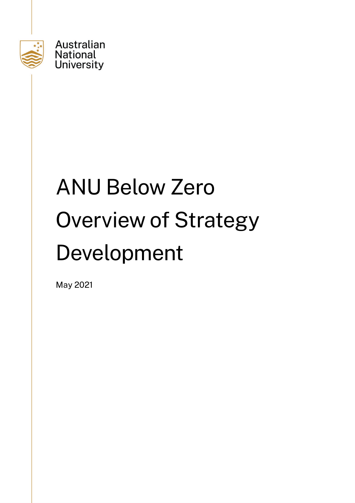

# ANU Below Zero Overview of Strategy Development

May 2021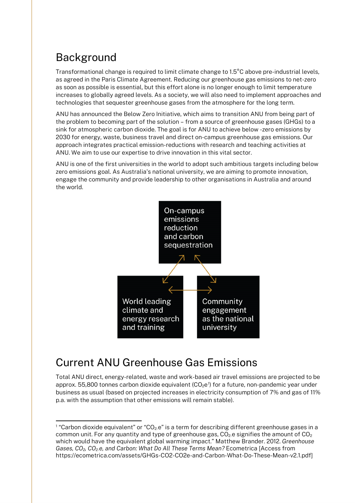## Background

Transformational change is required to limit climate change to 1.5°C above pre-industrial levels, as agreed in the Paris Climate Agreement. Reducing our greenhouse gas emissions to net-zero as soon as possible is essential, but this effort alone is no longer enough to limit temperature increases to globally agreed levels. As a society, we will also need to implement approaches and technologies that sequester greenhouse gases from the atmosphere for the long term.

ANU has announced the Below Zero Initiative, which aims to transition ANU from being part of the problem to becoming part of the solution – from a source of greenhouse gases (GHGs) to a sink for atmospheric carbon dioxide. The goal is for ANU to achieve below -zero emissions by 2030 for energy, waste, business travel and direct on-campus greenhouse gas emissions. Our approach integrates practical emission-reductions with research and teaching activities at ANU. We aim to use our expertise to drive innovation in this vital sector.

ANU is one of the first universities in the world to adopt such ambitious targets including below zero emissions goal. As Australia's national university, we are aiming to promote innovation, engage the community and provide leadership to other organisations in Australia and around the world.



## Current ANU Greenhouse Gas Emissions

Total ANU direct, energy-related, waste and work-based air travel emissions are projected to be approx. 55,800 tonnes carbon dioxide equivalent ( $CO_2e^1$  $CO_2e^1$ ) for a future, non-pandemic year under business as usual (based on projected increases in electricity consumption of 7% and gas of 11% p.a. with the assumption that other emissions will remain stable).

<span id="page-1-0"></span> $1$  "Carbon dioxide equivalent" or "CO<sub>2</sub>.e" is a term for describing different greenhouse gases in a common unit. For any quantity and type of greenhouse gas,  $CO<sub>2</sub>$  e signifies the amount of  $CO<sub>2</sub>$ which would have the equivalent global warming impact." Matthew Brander. 2012. *Greenhouse Gases, CO2, CO2-e, and Carbon: What Do All These Terms Mean?* Ecometrica [Access from https://ecometrica.com/assets/GHGs-CO2-CO2e-and-Carbon-What-Do-These-Mean-v2.1.pdf]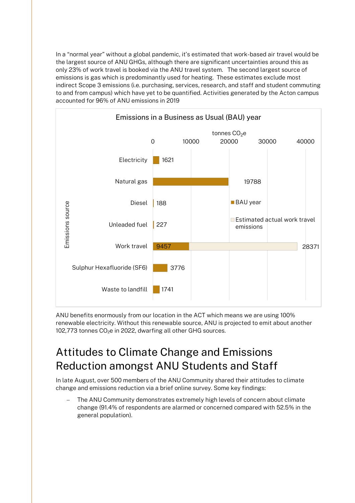In a "normal year" without a global pandemic, it's estimated that work-based air travel would be the largest source of ANU GHGs, although there are significant uncertainties around this as only 23% of work travel is booked via the ANU travel system. The second largest source of emissions is gas which is predominantly used for heating. These estimates exclude most indirect Scope 3 emissions (i.e. purchasing, services, research, and staff and student commuting to and from campus) which have yet to be quantified. Activities generated by the Acton campus accounted for 96% of ANU emissions in 2019



ANU benefits enormously from our location in the ACT which means we are using 100% renewable electricity. Without this renewable source, ANU is projected to emit about another 102,773 tonnes CO<sub>2</sub>e in 2022, dwarfing all other GHG sources.

## Attitudes to Climate Change and Emissions Reduction amongst ANU Students and Staff

In late August, over 500 members of the ANU Community shared their attitudes to climate change and emissions reduction via a brief online survey. Some key findings:

The ANU Community demonstrates extremely high levels of concern about climate change (91.4% of respondents are alarmed or concerned compared with 52.5% in the general population).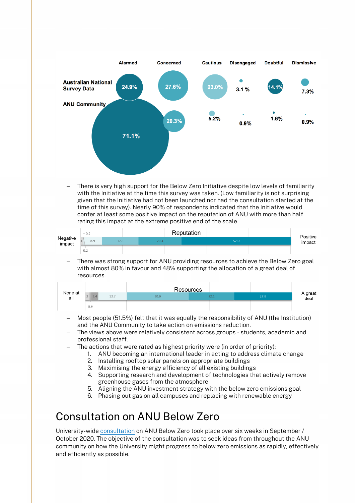

There is very high support for the Below Zero Initiative despite low levels of familiarity with the Initiative at the time this survey was taken. (Low familiarity is not surprising given that the Initiative had not been launched nor had the consultation started at the time of this survey). Nearly 90% of respondents indicated that the Initiative would confer at least some positive impact on the reputation of ANU with more than half rating this impact at the extreme positive end of the scale.

| Negative<br>impact | $-0.2$ |      | Reputation |  |      | Positive |
|--------------------|--------|------|------------|--|------|----------|
|                    | 8.9    | 17.3 | 20.4       |  | 52.0 | impact   |
|                    | 0.2    |      |            |  |      |          |

− There was strong support for ANU providing resources to achieve the Below Zero goal with almost 80% in favour and 48% supporting the allocation of a great deal of resources.

| None at<br>all |             | Resources |      |      |                 |
|----------------|-------------|-----------|------|------|-----------------|
|                | 13.7<br>3.4 | 30.0      | 22.1 | 27.8 | A great<br>deal |
|                | 0.9         |           |      |      |                 |

- − Most people (51.5%) felt that it was equally the responsibility of ANU (the Institution) and the ANU Community to take action on emissions reduction.
- The views above were relatively consistent across groups students, academic and professional staff.
- The actions that were rated as highest priority were (in order of priority):
	- 1. ANU becoming an international leader in acting to address climate change
	- 2. Installing rooftop solar panels on appropriate buildings
	- 3. Maximising the energy efficiency of all existing buildings
	- 4. Supporting research and development of technologies that actively remove greenhouse gases from the atmosphere
	- 5. Aligning the ANU investment strategy with the below zero emissions goal
	- 6. Phasing out gas on all campuses and replacing with renewable energy

## Consultation on ANU Below Zero

University-wide [consultation](https://www.anu.edu.au/news/all-news/how-can-we-reduce-anu-contributions-to-climate-change) on ANU Below Zero took place over six weeks in September / October 2020. The objective of the consultation was to seek ideas from throughout the ANU community on how the University might progress to below zero emissions as rapidly, effectively and efficiently as possible.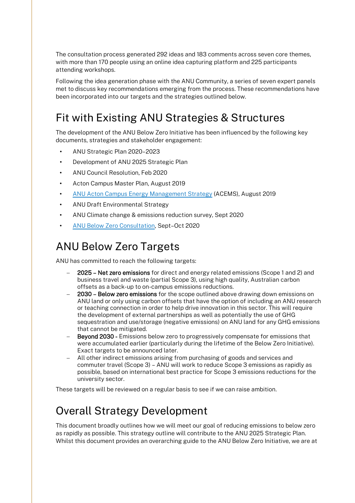The consultation process generated 292 ideas and 183 comments across seven core themes, with more than 170 people using an online idea capturing platform and 225 participants attending workshops.

Following the idea generation phase with the ANU Community, a series of seven expert panels met to discuss key recommendations emerging from the process. These recommendations have been incorporated into our targets and the strategies outlined below.

## Fit with Existing ANU Strategies & Structures

The development of the ANU Below Zero Initiative has been influenced by the following key documents, strategies and stakeholder engagement:

- ANU Strategic Plan 2020–2023
- Development of ANU 2025 Strategic Plan
- ANU Council Resolution, Feb 2020
- Acton Campus Master Plan, August 2019
- [ANU Acton Campus Energy Management Strategy](https://www.anu.edu.au/news/all-news/acton-campus-energy-management-strategy) (ACEMS), August 2019
- ANU Draft Environmental Strategy
- ANU Climate change & emissions reduction survey, Sept 2020
- [ANU Below Zero Consultation,](https://www.anu.edu.au/news/all-news/anu-below-zero-consultation-workshops) Sept–Oct 2020

## ANU Below Zero Targets

ANU has committed to reach the following targets:

- − 2025 Net zero emissions for direct and energy related emissions (Scope 1 and 2) and business travel and waste (partial Scope 3), using high quality, Australian carbon offsets as a back-up to on-campus emissions reductions.
- 2030 Below zero emissions for the scope outlined above drawing down emissions on ANU land or only using carbon offsets that have the option of including an ANU research or teaching connection in order to help drive innovation in this sector. This will require the development of external partnerships as well as potentially the use of GHG sequestration and use/storage (negative emissions) on ANU land for any GHG emissions that cannot be mitigated.
- Beyond 2030 Emissions below zero to progressively compensate for emissions that were accumulated earlier (particularly during the lifetime of the Below Zero Initiative). Exact targets to be announced later.
- − All other indirect emissions arising from purchasing of goods and services and commuter travel (Scope 3) – ANU will work to reduce Scope 3 emissions as rapidly as possible, based on international best practice for Scope 3 emissions reductions for the university sector.

These targets will be reviewed on a regular basis to see if we can raise ambition.

## Overall Strategy Development

This document broadly outlines how we will meet our goal of reducing emissions to below zero as rapidly as possible. This strategy outline will contribute to the ANU 2025 Strategic Plan. Whilst this document provides an overarching guide to the ANU Below Zero Initiative, we are at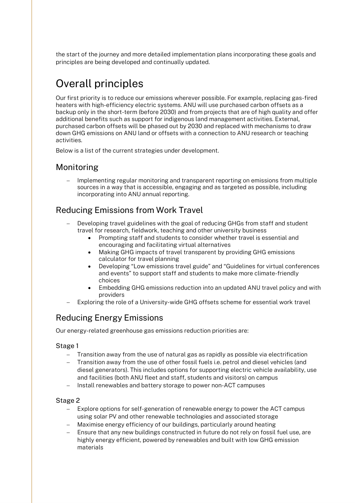the start of the journey and more detailed implementation plans incorporating these goals and principles are being developed and continually updated.

# Overall principles

Our first priority is to reduce our emissions wherever possible. For example, replacing gas-fired heaters with high-efficiency electric systems. ANU will use purchased carbon offsets as a backup only in the short-term (before 2030) and from projects that are of high quality and offer additional benefits such as support for indigenous land management activities. External, purchased carbon offsets will be phased out by 2030 and replaced with mechanisms to draw down GHG emissions on ANU land or offsets with a connection to ANU research or teaching activities.

Below is a list of the current strategies under development.

#### Monitoring

− Implementing regular monitoring and transparent reporting on emissions from multiple sources in a way that is accessible, engaging and as targeted as possible, including incorporating into ANU annual reporting.

#### Reducing Emissions from Work Travel

- Developing travel guidelines with the goal of reducing GHGs from staff and student travel for research, fieldwork, teaching and other university business
	- Prompting staff and students to consider whether travel is essential and encouraging and facilitating virtual alternatives
	- Making GHG impacts of travel transparent by providing GHG emissions calculator for travel planning
	- Developing "Low emissions travel guide" and "Guidelines for virtual conferences and events" to support staff and students to make more climate-friendly choices
	- Embedding GHG emissions reduction into an updated ANU travel policy and with providers
- − Exploring the role of a University-wide GHG offsets scheme for essential work travel

### Reducing Energy Emissions

Our energy-related greenhouse gas emissions reduction priorities are:

#### Stage 1

- Transition away from the use of natural gas as rapidly as possible via electrification
- − Transition away from the use of other fossil fuels i.e. petrol and diesel vehicles (and diesel generators). This includes options for supporting electric vehicle availability, use and facilities (both ANU fleet and staff, students and visitors) on campus
- − Install renewables and battery storage to power non-ACT campuses

#### Stage 2

- − Explore options for self-generation of renewable energy to power the ACT campus using solar PV and other renewable technologies and associated storage
- Maximise energy efficiency of our buildings, particularly around heating
- − Ensure that any new buildings constructed in future do not rely on fossil fuel use, are highly energy efficient, powered by renewables and built with low GHG emission materials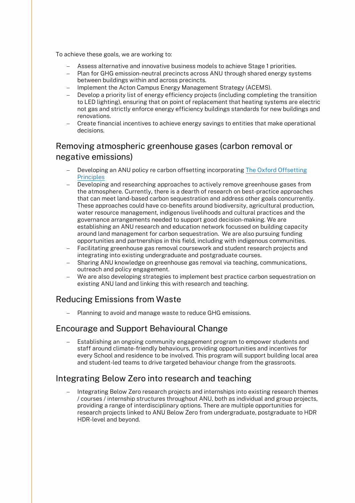To achieve these goals, we are working to:

- − Assess alternative and innovative business models to achieve Stage 1 priorities.
- − Plan for GHG emission-neutral precincts across ANU through shared energy systems between buildings within and across precincts.
- − Implement the Acton Campus Energy Management Strategy (ACEMS).
- − Develop a priority list of energy efficiency projects (including completing the transition to LED lighting), ensuring that on point of replacement that heating systems are electric not gas and strictly enforce energy efficiency buildings standards for new buildings and renovations.
- − Create financial incentives to achieve energy savings to entities that make operational decisions.

## Removing atmospheric greenhouse gases (carbon removal or negative emissions)

- Developing an ANU policy re carbon offsetting incorporating The Oxford Offsetting [Principles](https://www.smithschool.ox.ac.uk/publications/reports/Oxford-Offsetting-Principles-2020.pdf)
- Developing and researching approaches to actively remove greenhouse gases from the atmosphere. Currently, there is a dearth of research on best-practice approaches that can meet land-based carbon sequestration and address other goals concurrently. These approaches could have co-benefits around biodiversity, agricultural production, water resource management, indigenous livelihoods and cultural practices and the governance arrangements needed to support good decision-making. We are establishing an ANU research and education network focussed on building capacity around land management for carbon sequestration. We are also pursuing funding opportunities and partnerships in this field, including with indigenous communities.
- − Facilitating greenhouse gas removal coursework and student research projects and integrating into existing undergraduate and postgraduate courses.
- − Sharing ANU knowledge on greenhouse gas removal via teaching, communications, outreach and policy engagement.
- − We are also developing strategies to implement best practice carbon sequestration on existing ANU land and linking this with research and teaching.

#### Reducing Emissions from Waste

Planning to avoid and manage waste to reduce GHG emissions.

#### Encourage and Support Behavioural Change

Establishing an ongoing community engagement program to empower students and staff around climate-friendly behaviours, providing opportunities and incentives for every School and residence to be involved. This program will support building local area and student-led teams to drive targeted behaviour change from the grassroots.

#### Integrating Below Zero into research and teaching

− Integrating Below Zero research projects and internships into existing research themes / courses / internship structures throughout ANU, both as individual and group projects, providing a range of interdisciplinary options. There are multiple opportunities for research projects linked to ANU Below Zero from undergraduate, postgraduate to HDR HDR-level and beyond.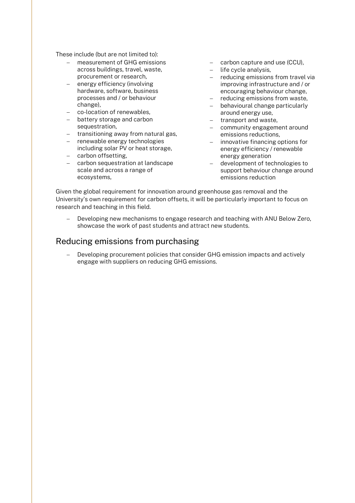These include (but are not limited to):

- − measurement of GHG emissions across buildings, travel, waste, procurement or research,
- energy efficiency (involving hardware, software, business processes and / or behaviour change),
- − co-location of renewables,
- − battery storage and carbon sequestration,
- − transitioning away from natural gas,
- − renewable energy technologies
- including solar PV or heat storage, − carbon offsetting,
- − carbon sequestration at landscape scale and across a range of ecosystems,
- − carbon capture and use (CCU),
- − life cycle analysis,
- − reducing emissions from travel via improving infrastructure and / or encouraging behaviour change,
- − reducing emissions from waste,
- − behavioural change particularly around energy use,
- − transport and waste,
- − community engagement around emissions reductions,
- − innovative financing options for energy efficiency / renewable energy generation
- − development of technologies to support behaviour change around emissions reduction

Given the global requirement for innovation around greenhouse gas removal and the University's own requirement for carbon offsets, it will be particularly important to focus on research and teaching in this field.

− Developing new mechanisms to engage research and teaching with ANU Below Zero, showcase the work of past students and attract new students.

#### Reducing emissions from purchasing

Developing procurement policies that consider GHG emission impacts and actively engage with suppliers on reducing GHG emissions.